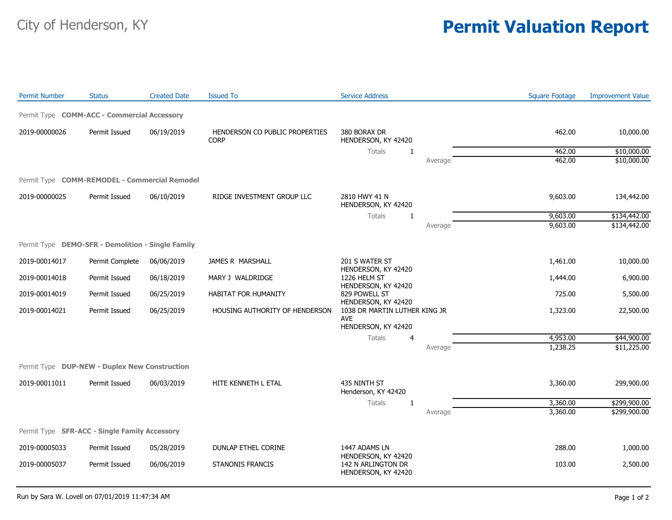## City of Henderson, KY **Permit Valuation Report**

| <b>Permit Number</b>                              | <b>Status</b>   | <b>Created Date</b> | <b>Issued To</b>                              | <b>Service Address</b>                                             |         | <b>Square Footage</b> | <b>Improvement Value</b> |
|---------------------------------------------------|-----------------|---------------------|-----------------------------------------------|--------------------------------------------------------------------|---------|-----------------------|--------------------------|
| Permit Type COMM-ACC - Commercial Accessory       |                 |                     |                                               |                                                                    |         |                       |                          |
| 2019-00000026                                     | Permit Issued   | 06/19/2019          | HENDERSON CO PUBLIC PROPERTIES<br><b>CORP</b> | 380 BORAX DR<br>HENDERSON, KY 42420                                |         | 462.00                | 10,000.00                |
|                                                   |                 |                     |                                               | <b>Totals</b><br>-1                                                |         | 462.00                | \$10,000.00              |
|                                                   |                 |                     |                                               |                                                                    | Average | 462.00                | \$10,000.00              |
| Permit Type COMM-REMODEL - Commercial Remodel     |                 |                     |                                               |                                                                    |         |                       |                          |
| 2019-00000025                                     | Permit Issued   | 06/10/2019          | RIDGE INVESTMENT GROUP LLC                    | 2810 HWY 41 N<br>HENDERSON, KY 42420                               |         | 9,603.00              | 134,442.00               |
|                                                   |                 |                     |                                               | Totals<br>-1                                                       |         | 9,603.00              | \$134,442.00             |
|                                                   |                 |                     |                                               |                                                                    | Average | 9,603.00              | \$134,442.00             |
| Permit Type DEMO-SFR - Demolition - Single Family |                 |                     |                                               |                                                                    |         |                       |                          |
| 2019-00014017                                     | Permit Complete | 06/06/2019          | JAMES R MARSHALL                              | 201 S WATER ST                                                     |         | 1,461.00              | 10,000.00                |
| 2019-00014018                                     | Permit Issued   | 06/18/2019          | MARY J WALDRIDGE                              | HENDERSON, KY 42420<br>1226 HELM ST<br>HENDERSON, KY 42420         |         | 1,444.00              | 6,900.00                 |
| 2019-00014019                                     | Permit Issued   | 06/25/2019          | <b>HABITAT FOR HUMANITY</b>                   | 829 POWELL ST<br>HENDERSON, KY 42420                               |         | 725.00                | 5,500.00                 |
| 2019-00014021                                     | Permit Issued   | 06/25/2019          | HOUSING AUTHORITY OF HENDERSON                | 1038 DR MARTIN LUTHER KING JR<br><b>AVE</b><br>HENDERSON, KY 42420 |         | 1,323.00              | 22,500.00                |
|                                                   |                 |                     |                                               | Totals<br>4                                                        |         | 4,953.00              | \$44,900.00              |
|                                                   |                 |                     |                                               |                                                                    | Average | 1,238.25              | \$11,225.00              |
| Permit Type DUP-NEW - Duplex New Construction     |                 |                     |                                               |                                                                    |         |                       |                          |
| 2019-00011011                                     | Permit Issued   | 06/03/2019          | HITE KENNETH L ETAL                           | 435 NINTH ST<br>Henderson, KY 42420                                |         | 3,360.00              | 299,900.00               |
|                                                   |                 |                     |                                               | Totals<br>$\mathbf{1}$                                             |         | 3,360.00              | \$299,900.00             |
|                                                   |                 |                     |                                               |                                                                    | Average | 3,360.00              | \$299,900.00             |
| Permit Type SFR-ACC - Single Family Accessory     |                 |                     |                                               |                                                                    |         |                       |                          |
| 2019-00005033                                     | Permit Issued   | 05/28/2019          | DUNLAP ETHEL CORINE                           | 1447 ADAMS LN                                                      |         | 288.00                | 1,000.00                 |
| 2019-00005037                                     | Permit Issued   | 06/06/2019          | <b>STANONIS FRANCIS</b>                       | HENDERSON, KY 42420<br>142 N ARLINGTON DR<br>HENDERSON, KY 42420   |         | 103.00                | 2,500.00                 |